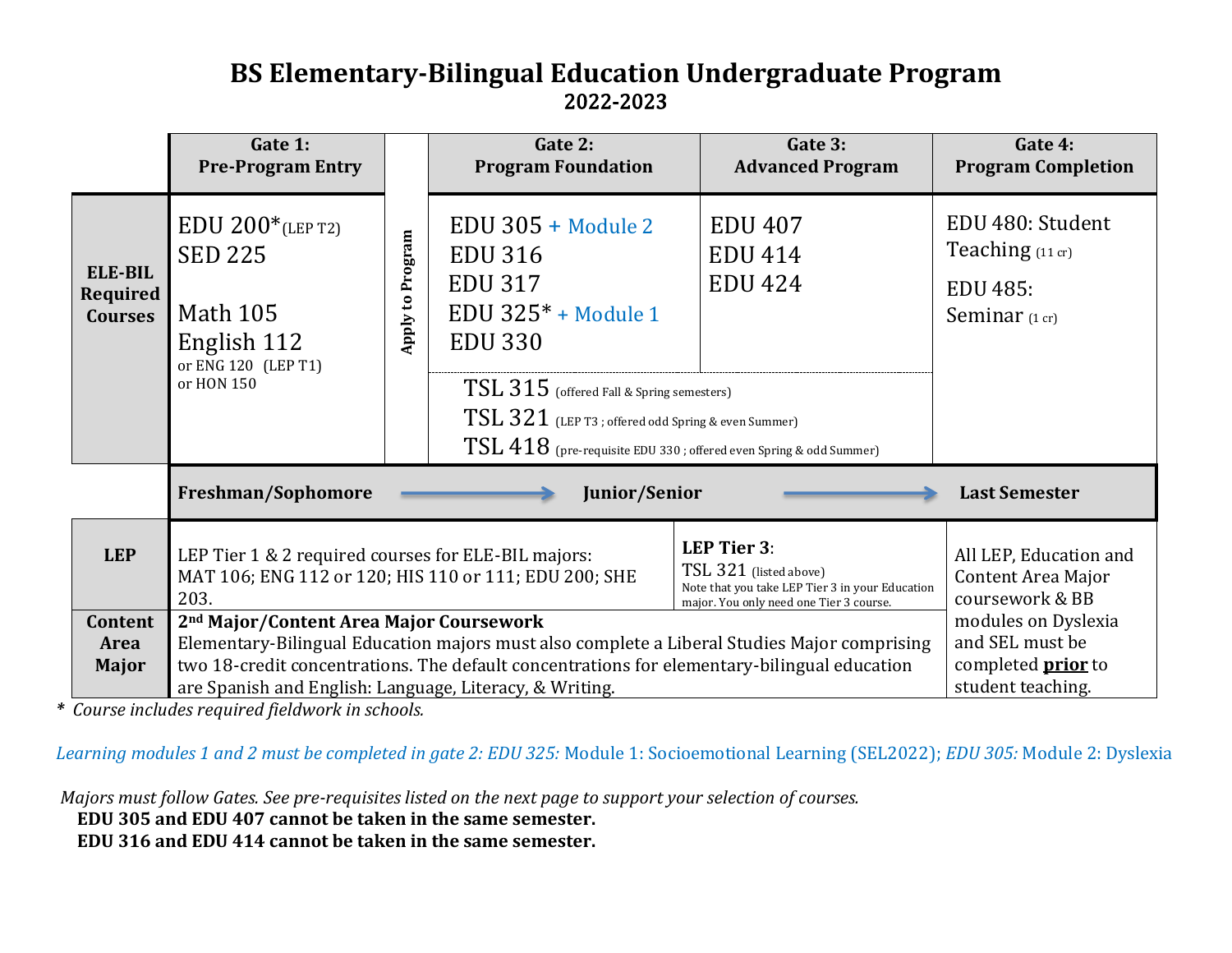## **BS Elementary-Bilingual Education Undergraduate Program**  2022-2023

|                                                                                                                                                                                                                                                                                                                                                                              | Gate 1:<br><b>Pre-Program Entry</b>                                                                                                                                                                                                                                                                          |                  | Gate 2:<br><b>Program Foundation</b>                                                                                                                                                                                                                                                                  | Gate 3:<br><b>Advanced Program</b>                 | Gate 4:<br><b>Program Completion</b>                                                     |
|------------------------------------------------------------------------------------------------------------------------------------------------------------------------------------------------------------------------------------------------------------------------------------------------------------------------------------------------------------------------------|--------------------------------------------------------------------------------------------------------------------------------------------------------------------------------------------------------------------------------------------------------------------------------------------------------------|------------------|-------------------------------------------------------------------------------------------------------------------------------------------------------------------------------------------------------------------------------------------------------------------------------------------------------|----------------------------------------------------|------------------------------------------------------------------------------------------|
| <b>ELE-BIL</b><br>Required<br><b>Courses</b>                                                                                                                                                                                                                                                                                                                                 | $EDU 200*_{(LEP T2)}$<br><b>SED 225</b><br><b>Math 105</b><br>English 112<br>or ENG 120 (LEP T1)<br>or HON 150                                                                                                                                                                                               | Apply to Program | $EDU$ 305 + Module 2<br><b>EDU 316</b><br><b>EDU 317</b><br>EDU $325* + Module 1$<br><b>EDU 330</b><br>TSL 315 (offered Fall & Spring semesters)<br>$\text{TSL}\,321\,$ (LEP T3 ; offered odd Spring & even Summer)<br>$\text{TSL}\,418\,$ (pre-requisite EDU 330 ; offered even Spring & odd Summer) | <b>EDU 407</b><br><b>EDU 414</b><br><b>EDU 424</b> | EDU 480: Student<br>Teaching (11 cr)<br><b>EDU 485:</b><br>Seminar $(1 \text{ cr})$      |
|                                                                                                                                                                                                                                                                                                                                                                              | Freshman/Sophomore<br><b>Junior/Senior</b><br><b>Last Semester</b>                                                                                                                                                                                                                                           |                  |                                                                                                                                                                                                                                                                                                       |                                                    |                                                                                          |
| <b>LEP</b>                                                                                                                                                                                                                                                                                                                                                                   | <b>LEP Tier 3:</b><br>LEP Tier 1 & 2 required courses for ELE-BIL majors:<br>TSL 321 (listed above)<br>MAT 106; ENG 112 or 120; HIS 110 or 111; EDU 200; SHE<br>Note that you take LEP Tier 3 in your Education<br>203.<br>major. You only need one Tier 3 course.                                           |                  |                                                                                                                                                                                                                                                                                                       |                                                    | All LEP, Education and<br><b>Content Area Major</b><br>coursework & BB                   |
| Content<br>Area<br><b>Major</b>                                                                                                                                                                                                                                                                                                                                              | 2 <sup>nd</sup> Major/Content Area Major Coursework<br>Elementary-Bilingual Education majors must also complete a Liberal Studies Major comprising<br>two 18-credit concentrations. The default concentrations for elementary-bilingual education<br>are Spanish and English: Language, Literacy, & Writing. |                  |                                                                                                                                                                                                                                                                                                       |                                                    | modules on Dyslexia<br>and SEL must be<br>completed <b>prior</b> to<br>student teaching. |
| Course includes required fieldwork in schools.                                                                                                                                                                                                                                                                                                                               |                                                                                                                                                                                                                                                                                                              |                  |                                                                                                                                                                                                                                                                                                       |                                                    |                                                                                          |
| earning modules 1 and 2 must be completed in gate 2: EDU 325: Module 1: Socioemotional Learning (SEL2022); EDU 305: Module 2: Dyslex<br>Majors must follow Gates. See pre-requisites listed on the next page to support your selection of courses.<br>EDU 305 and EDU 407 cannot be taken in the same semester.<br>EDU 316 and EDU 414 cannot be taken in the same semester. |                                                                                                                                                                                                                                                                                                              |                  |                                                                                                                                                                                                                                                                                                       |                                                    |                                                                                          |